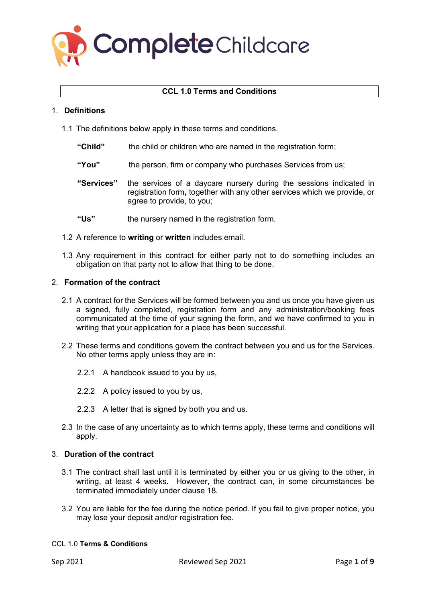

# **CCL 1.0 Terms and Conditions**

# 1. **Definitions**

- 1.1 The definitions below apply in these terms and conditions.
	- **"Child"** the child or children who are named in the registration form;
	- **"You"** the person, firm or company who purchases Services from us;
	- **"Services"** the services of a daycare nursery during the sessions indicated in registration form**,** together with any other services which we provide, or agree to provide, to you;
	- **"Us"** the nursery named in the registration form.
- 1.2 A reference to **writing** or **written** includes email.
- 1.3 Any requirement in this contract for either party not to do something includes an obligation on that party not to allow that thing to be done.

# 2. **Formation of the contract**

- 2.1 A contract for the Services will be formed between you and us once you have given us a signed, fully completed, registration form and any administration/booking fees communicated at the time of your signing the form, and we have confirmed to you in writing that your application for a place has been successful.
- 2.2 These terms and conditions govern the contract between you and us for the Services. No other terms apply unless they are in:
	- 2.2.1 A handbook issued to you by us,
	- 2.2.2 A policy issued to you by us,
	- 2.2.3 A letter that is signed by both you and us.
- 2.3 In the case of any uncertainty as to which terms apply, these terms and conditions will apply.

# 3. **Duration of the contract**

- 3.1 The contract shall last until it is terminated by either you or us giving to the other, in writing, at least 4 weeks. However, the contract can, in some circumstances be terminated immediately under clause 18.
- 3.2 You are liable for the fee during the notice period. If you fail to give proper notice, you may lose your deposit and/or registration fee.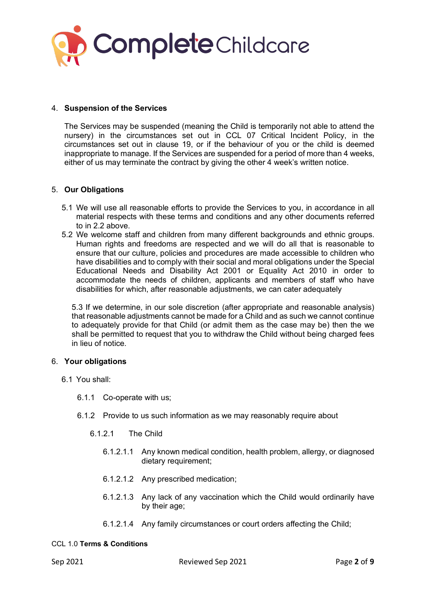

# 4. **Suspension of the Services**

The Services may be suspended (meaning the Child is temporarily not able to attend the nursery) in the circumstances set out in CCL 07 Critical Incident Policy, in the circumstances set out in clause 19, or if the behaviour of you or the child is deemed inappropriate to manage. If the Services are suspended for a period of more than 4 weeks, either of us may terminate the contract by giving the other 4 week's written notice.

# 5. **Our Obligations**

- 5.1 We will use all reasonable efforts to provide the Services to you, in accordance in all material respects with these terms and conditions and any other documents referred to in 2.2 above.
- 5.2 We welcome staff and children from many different backgrounds and ethnic groups. Human rights and freedoms are respected and we will do all that is reasonable to ensure that our culture, policies and procedures are made accessible to children who have disabilities and to comply with their social and moral obligations under the Special Educational Needs and Disability Act 2001 or Equality Act 2010 in order to accommodate the needs of children, applicants and members of staff who have disabilities for which, after reasonable adjustments, we can cater adequately

5.3 If we determine, in our sole discretion (after appropriate and reasonable analysis) that reasonable adjustments cannot be made for a Child and as such we cannot continue to adequately provide for that Child (or admit them as the case may be) then the we shall be permitted to request that you to withdraw the Child without being charged fees in lieu of notice.

### 6. **Your obligations**

- 6.1 You shall:
	- 6.1.1 Co-operate with us;
	- 6.1.2 Provide to us such information as we may reasonably require about
		- 6.1.2.1 The Child
			- 6.1.2.1.1 Any known medical condition, health problem, allergy, or diagnosed dietary requirement;
			- 6.1.2.1.2 Any prescribed medication;
			- 6.1.2.1.3 Any lack of any vaccination which the Child would ordinarily have by their age;
			- 6.1.2.1.4 Any family circumstances or court orders affecting the Child;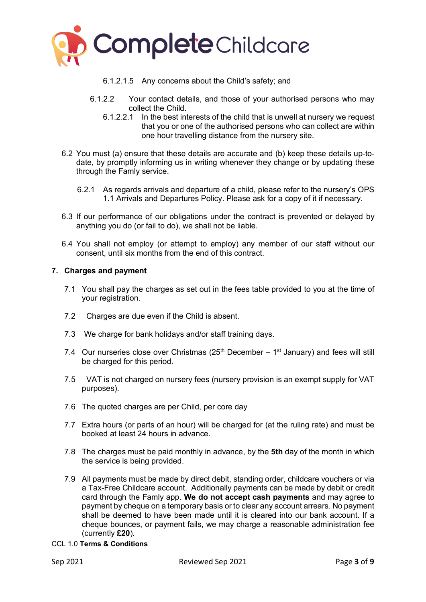

- 6.1.2.1.5 Any concerns about the Child's safety; and
- 6.1.2.2 Your contact details, and those of your authorised persons who may collect the Child.
	- 6.1.2.2.1 In the best interests of the child that is unwell at nursery we request that you or one of the authorised persons who can collect are within one hour travelling distance from the nursery site.
- 6.2 You must (a) ensure that these details are accurate and (b) keep these details up-todate, by promptly informing us in writing whenever they change or by updating these through the Famly service.
	- 6.2.1 As regards arrivals and departure of a child, please refer to the nursery's OPS 1.1 Arrivals and Departures Policy. Please ask for a copy of it if necessary.
- 6.3 If our performance of our obligations under the contract is prevented or delayed by anything you do (or fail to do), we shall not be liable.
- 6.4 You shall not employ (or attempt to employ) any member of our staff without our consent, until six months from the end of this contract.

# **7. Charges and payment**

- 7.1 You shall pay the charges as set out in the fees table provided to you at the time of your registration.
- 7.2 Charges are due even if the Child is absent.
- 7.3 We charge for bank holidays and/or staff training days.
- 7.4 Our nurseries close over Christmas  $(25<sup>th</sup> December 1<sup>st</sup> January)$  and fees will still be charged for this period.
- 7.5 VAT is not charged on nursery fees (nursery provision is an exempt supply for VAT purposes).
- 7.6 The quoted charges are per Child, per core day
- 7.7 Extra hours (or parts of an hour) will be charged for (at the ruling rate) and must be booked at least 24 hours in advance.
- 7.8 The charges must be paid monthly in advance, by the **5th** day of the month in which the service is being provided.
- 7.9 All payments must be made by direct debit, standing order, childcare vouchers or via a Tax-Free Childcare account. Additionally payments can be made by debit or credit card through the Famly app. **We do not accept cash payments** and may agree to payment by cheque on a temporary basis or to clear any account arrears. No payment shall be deemed to have been made until it is cleared into our bank account. If a cheque bounces, or payment fails, we may charge a reasonable administration fee (currently **£20**).
- CCL 1.0 **Terms & Conditions**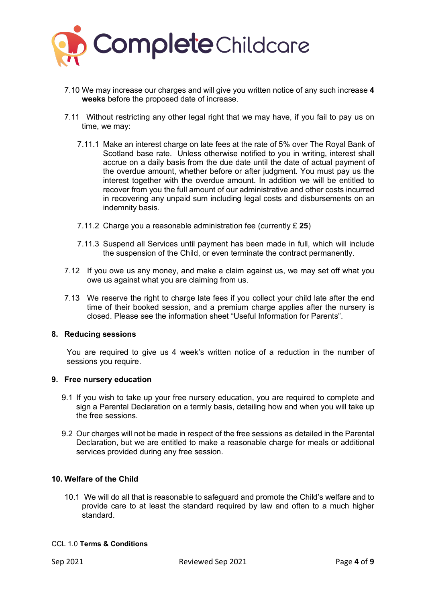

- 7.10 We may increase our charges and will give you written notice of any such increase **4 weeks** before the proposed date of increase.
- 7.11 Without restricting any other legal right that we may have, if you fail to pay us on time, we may:
	- 7.11.1 Make an interest charge on late fees at the rate of 5% over The Royal Bank of Scotland base rate. Unless otherwise notified to you in writing, interest shall accrue on a daily basis from the due date until the date of actual payment of the overdue amount, whether before or after judgment. You must pay us the interest together with the overdue amount. In addition we will be entitled to recover from you the full amount of our administrative and other costs incurred in recovering any unpaid sum including legal costs and disbursements on an indemnity basis.
	- 7.11.2 Charge you a reasonable administration fee (currently £ **25**)
	- 7.11.3 Suspend all Services until payment has been made in full, which will include the suspension of the Child, or even terminate the contract permanently.
- 7.12 If you owe us any money, and make a claim against us, we may set off what you owe us against what you are claiming from us.
- 7.13 We reserve the right to charge late fees if you collect your child late after the end time of their booked session, and a premium charge applies after the nursery is closed. Please see the information sheet "Useful Information for Parents".

# **8. Reducing sessions**

You are required to give us 4 week's written notice of a reduction in the number of sessions you require.

### **9. Free nursery education**

- 9.1 If you wish to take up your free nursery education, you are required to complete and sign a Parental Declaration on a termly basis, detailing how and when you will take up the free sessions.
- 9.2 Our charges will not be made in respect of the free sessions as detailed in the Parental Declaration, but we are entitled to make a reasonable charge for meals or additional services provided during any free session.

# **10. Welfare of the Child**

10.1 We will do all that is reasonable to safeguard and promote the Child's welfare and to provide care to at least the standard required by law and often to a much higher standard.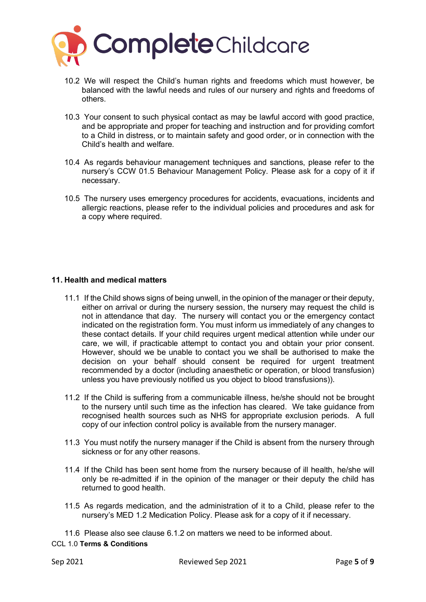

- 10.2 We will respect the Child's human rights and freedoms which must however, be balanced with the lawful needs and rules of our nursery and rights and freedoms of others.
- 10.3 Your consent to such physical contact as may be lawful accord with good practice, and be appropriate and proper for teaching and instruction and for providing comfort to a Child in distress, or to maintain safety and good order, or in connection with the Child's health and welfare.
- 10.4 As regards behaviour management techniques and sanctions, please refer to the nursery's CCW 01.5 Behaviour Management Policy. Please ask for a copy of it if necessary.
- 10.5 The nursery uses emergency procedures for accidents, evacuations, incidents and allergic reactions, please refer to the individual policies and procedures and ask for a copy where required.

# **11. Health and medical matters**

- 11.1 If the Child shows signs of being unwell, in the opinion of the manager or their deputy, either on arrival or during the nursery session, the nursery may request the child is not in attendance that day. The nursery will contact you or the emergency contact indicated on the registration form. You must inform us immediately of any changes to these contact details. If your child requires urgent medical attention while under our care, we will, if practicable attempt to contact you and obtain your prior consent. However, should we be unable to contact you we shall be authorised to make the decision on your behalf should consent be required for urgent treatment recommended by a doctor (including anaesthetic or operation, or blood transfusion) unless you have previously notified us you object to blood transfusions)).
- 11.2 If the Child is suffering from a communicable illness, he/she should not be brought to the nursery until such time as the infection has cleared. We take guidance from recognised health sources such as NHS for appropriate exclusion periods. A full copy of our infection control policy is available from the nursery manager.
- 11.3 You must notify the nursery manager if the Child is absent from the nursery through sickness or for any other reasons.
- 11.4 If the Child has been sent home from the nursery because of ill health, he/she will only be re-admitted if in the opinion of the manager or their deputy the child has returned to good health.
- 11.5 As regards medication, and the administration of it to a Child, please refer to the nursery's MED 1.2 Medication Policy. Please ask for a copy of it if necessary.

11.6 Please also see clause 6.1.2 on matters we need to be informed about.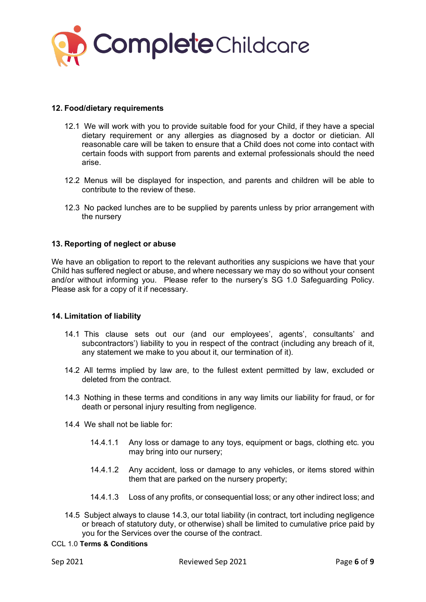

# **12. Food/dietary requirements**

- 12.1 We will work with you to provide suitable food for your Child, if they have a special dietary requirement or any allergies as diagnosed by a doctor or dietician. All reasonable care will be taken to ensure that a Child does not come into contact with certain foods with support from parents and external professionals should the need arise.
- 12.2 Menus will be displayed for inspection, and parents and children will be able to contribute to the review of these.
- 12.3 No packed lunches are to be supplied by parents unless by prior arrangement with the nursery

# **13. Reporting of neglect or abuse**

We have an obligation to report to the relevant authorities any suspicions we have that your Child has suffered neglect or abuse, and where necessary we may do so without your consent and/or without informing you. Please refer to the nursery's SG 1.0 Safeguarding Policy. Please ask for a copy of it if necessary.

### **14. Limitation of liability**

- 14.1 This clause sets out our (and our employees', agents', consultants' and subcontractors') liability to you in respect of the contract (including any breach of it, any statement we make to you about it, our termination of it).
- 14.2 All terms implied by law are, to the fullest extent permitted by law, excluded or deleted from the contract.
- 14.3 Nothing in these terms and conditions in any way limits our liability for fraud, or for death or personal injury resulting from negligence.
- 14.4 We shall not be liable for:
	- 14.4.1.1 Any loss or damage to any toys, equipment or bags, clothing etc. you may bring into our nursery;
	- 14.4.1.2 Any accident, loss or damage to any vehicles, or items stored within them that are parked on the nursery property;
	- 14.4.1.3 Loss of any profits, or consequential loss; or any other indirect loss; and
- 14.5 Subject always to clause 14.3, our total liability (in contract, tort including negligence or breach of statutory duty, or otherwise) shall be limited to cumulative price paid by you for the Services over the course of the contract.
- CCL 1.0 **Terms & Conditions**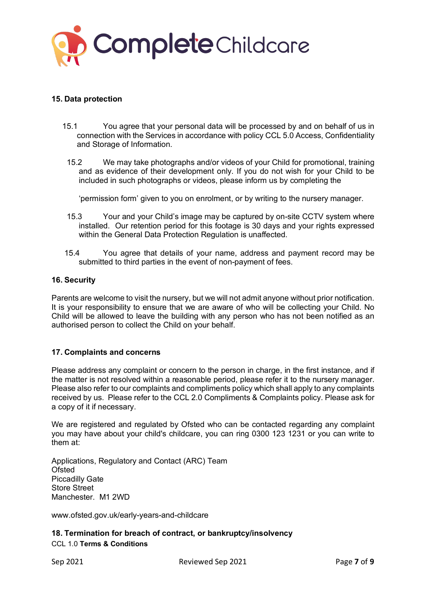

# **15. Data protection**

- 15.1 You agree that your personal data will be processed by and on behalf of us in connection with the Services in accordance with policy CCL 5.0 Access, Confidentiality and Storage of Information.
	- 15.2 We may take photographs and/or videos of your Child for promotional, training and as evidence of their development only. If you do not wish for your Child to be included in such photographs or videos, please inform us by completing the

'permission form' given to you on enrolment, or by writing to the nursery manager.

- 15.3 Your and your Child's image may be captured by on-site CCTV system where installed. Our retention period for this footage is 30 days and your rights expressed within the General Data Protection Regulation is unaffected.
- 15.4 You agree that details of your name, address and payment record may be submitted to third parties in the event of non-payment of fees.

# **16. Security**

Parents are welcome to visit the nursery, but we will not admit anyone without prior notification. It is your responsibility to ensure that we are aware of who will be collecting your Child. No Child will be allowed to leave the building with any person who has not been notified as an authorised person to collect the Child on your behalf.

# **17. Complaints and concerns**

Please address any complaint or concern to the person in charge, in the first instance, and if the matter is not resolved within a reasonable period, please refer it to the nursery manager. Please also refer to our complaints and compliments policy which shall apply to any complaints received by us. Please refer to the CCL 2.0 Compliments & Complaints policy. Please ask for a copy of it if necessary.

We are registered and regulated by Ofsted who can be contacted regarding any complaint you may have about your child's childcare, you can ring 0300 123 1231 or you can write to them at:

Applications, Regulatory and Contact (ARC) Team **Ofsted** Piccadilly Gate Store Street Manchester. M1 2WD

www.ofsted.gov.uk/early-years-and-childcare

CCL 1.0 **Terms & Conditions 18. Termination for breach of contract, or bankruptcy/insolvency**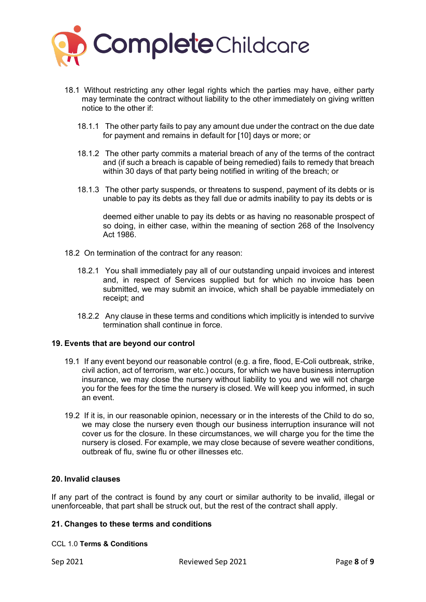

- 18.1 Without restricting any other legal rights which the parties may have, either party may terminate the contract without liability to the other immediately on giving written notice to the other if:
	- 18.1.1 The other party fails to pay any amount due under the contract on the due date for payment and remains in default for [10] days or more; or
	- 18.1.2 The other party commits a material breach of any of the terms of the contract and (if such a breach is capable of being remedied) fails to remedy that breach within 30 days of that party being notified in writing of the breach; or
	- 18.1.3 The other party suspends, or threatens to suspend, payment of its debts or is unable to pay its debts as they fall due or admits inability to pay its debts or is

deemed either unable to pay its debts or as having no reasonable prospect of so doing, in either case, within the meaning of section 268 of the Insolvency Act 1986.

- 18.2 On termination of the contract for any reason:
	- 18.2.1 You shall immediately pay all of our outstanding unpaid invoices and interest and, in respect of Services supplied but for which no invoice has been submitted, we may submit an invoice, which shall be payable immediately on receipt; and
	- 18.2.2 Any clause in these terms and conditions which implicitly is intended to survive termination shall continue in force.

### **19. Events that are beyond our control**

- 19.1 If any event beyond our reasonable control (e.g. a fire, flood, E-Coli outbreak, strike, civil action, act of terrorism, war etc.) occurs, for which we have business interruption insurance, we may close the nursery without liability to you and we will not charge you for the fees for the time the nursery is closed. We will keep you informed, in such an event.
- 19.2 If it is, in our reasonable opinion, necessary or in the interests of the Child to do so, we may close the nursery even though our business interruption insurance will not cover us for the closure. In these circumstances, we will charge you for the time the nursery is closed. For example, we may close because of severe weather conditions, outbreak of flu, swine flu or other illnesses etc.

# **20. Invalid clauses**

If any part of the contract is found by any court or similar authority to be invalid, illegal or unenforceable, that part shall be struck out, but the rest of the contract shall apply.

### **21. Changes to these terms and conditions**